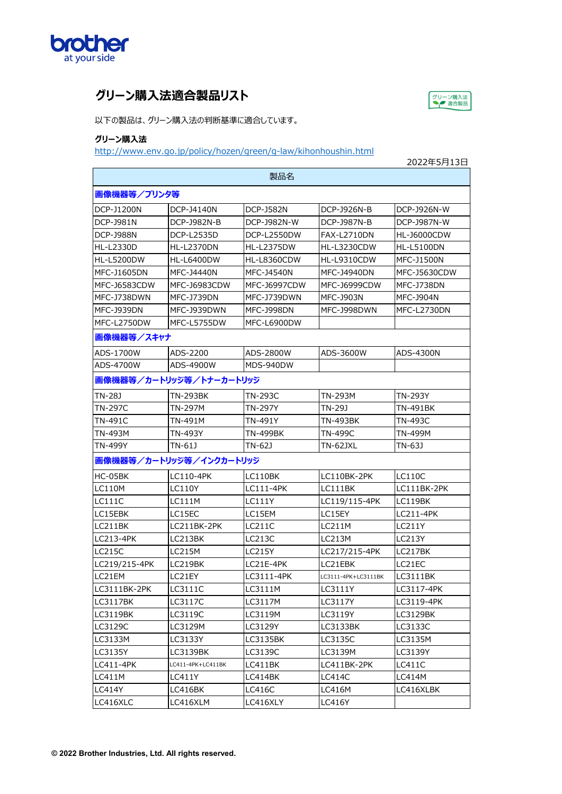

## **グリーン購⼊法適合製品リスト**



以下の製品は、グリーン購入法の判断基準に適合しています。

## **グリーン購入法**

http://www.env.go.jp/policy/hozen/green/g-law/kihonhoushin.html

|                         |                   |                     |                     | 2022年5月13日         |  |  |  |
|-------------------------|-------------------|---------------------|---------------------|--------------------|--|--|--|
|                         |                   | 製品名                 |                     |                    |  |  |  |
| 画像機器等/プリンタ等             |                   |                     |                     |                    |  |  |  |
| DCP-J1200N              | DCP-J4140N        | <b>DCP-J582N</b>    | DCP-J926N-B         | DCP-J926N-W        |  |  |  |
| <b>DCP-J981N</b>        | DCP-J982N-B       | DCP-J982N-W         | DCP-J987N-B         | DCP-J987N-W        |  |  |  |
| DCP-J988N               | <b>DCP-L2535D</b> | DCP-L2550DW         | <b>FAX-L2710DN</b>  | <b>HL-J6000CDW</b> |  |  |  |
| HL-L2330D               | <b>HL-L2370DN</b> | <b>HL-L2375DW</b>   | HL-L3230CDW         | <b>HL-L5100DN</b>  |  |  |  |
| <b>HL-L5200DW</b>       | <b>HL-L6400DW</b> | HL-L8360CDW         | HL-L9310CDW         | <b>MFC-J1500N</b>  |  |  |  |
| MFC-J1605DN             | MFC-J4440N        | <b>MFC-J4540N</b>   | MFC-J4940DN         | MFC-J5630CDW       |  |  |  |
| MFC-J6583CDW            | MFC-J6983CDW      | <b>MFC-J6997CDW</b> | <b>MFC-J6999CDW</b> | MFC-J738DN         |  |  |  |
| MFC-J738DWN             | MFC-J739DN        | MFC-J739DWN         | <b>MFC-J903N</b>    | MFC-J904N          |  |  |  |
| MFC-J939DN              | MFC-J939DWN       | MFC-J998DN          | MFC-J998DWN         | MFC-L2730DN        |  |  |  |
| MFC-L2750DW             | MFC-L5755DW       | MFC-L6900DW         |                     |                    |  |  |  |
| 画像機器等/スキャナ              |                   |                     |                     |                    |  |  |  |
| ADS-1700W               | ADS-2200          | ADS-2800W           | ADS-3600W           | ADS-4300N          |  |  |  |
| ADS-4700W               | ADS-4900W         | MDS-940DW           |                     |                    |  |  |  |
| 画像機器等/カートリッジ等/トナーカートリッジ |                   |                     |                     |                    |  |  |  |
| TN-28J                  | TN-293BK          | TN-293C             | TN-293M             | TN-293Y            |  |  |  |
| TN-297C                 | TN-297M           | TN-297Y             | TN-29J              | TN-491BK           |  |  |  |
| TN-491C                 | TN-491M           | TN-491Y             | TN-493BK            | TN-493C            |  |  |  |
| TN-493M                 | TN-493Y           | TN-499BK            | TN-499C             | TN-499M            |  |  |  |
| TN-499Y                 | TN-61J            | TN-62J              | TN-62JXL            | TN-63J             |  |  |  |
| 画像機器等/カートリッジ等/インクカートリッジ |                   |                     |                     |                    |  |  |  |
| HC-05BK                 | LC110-4PK         | LC110BK             | LC110BK-2PK         | LC110C             |  |  |  |
| LC110M                  | LC110Y            | LC111-4PK           | LC111BK             | LC111BK-2PK        |  |  |  |
| LC111C                  | LC111M            | LC111Y              | LC119/115-4PK       | LC119BK            |  |  |  |
| LC15EBK                 | LC15EC            | LC15EM              | LC15EY              | LC211-4PK          |  |  |  |
| LC211BK                 | LC211BK-2PK       | <b>LC211C</b>       | LC211M              | LC211Y             |  |  |  |
| LC213-4PK               | LC213BK           | LC213C              | LC213M              | LC213Y             |  |  |  |
| <b>LC215C</b>           | <b>LC215M</b>     | LC215Y              | LC217/215-4PK       | LC217BK            |  |  |  |
| LC219/215-4PK           | LC219BK           | LC21E-4PK           | LC21EBK             | LC21EC             |  |  |  |
| LC21EM                  | LC21EY            | LC3111-4PK          | LC3111-4PK+LC3111BK | LC3111BK           |  |  |  |
| LC3111BK-2PK            | LC3111C           | LC3111M             | LC3111Y             | LC3117-4PK         |  |  |  |
| LC3117BK                | LC3117C           | LC3117M             | LC3117Y             | LC3119-4PK         |  |  |  |
| <b>LC3119BK</b>         | LC3119C           | LC3119M             | LC3119Y             | LC3129BK           |  |  |  |
| LC3129C                 | LC3129M           | LC3129Y             | LC3133BK            | LC3133C            |  |  |  |
| LC3133M                 | LC3133Y           | <b>LC3135BK</b>     | LC3135C             | LC3135M            |  |  |  |
| LC3135Y                 | LC3139BK          | LC3139C             | LC3139M             | LC3139Y            |  |  |  |
| LC411-4PK               | LC411-4PK+LC411BK | LC411BK             | LC411BK-2PK         | LC411C             |  |  |  |
| <b>LC411M</b>           | LC411Y            | LC414BK             | LC414C              | LC414M             |  |  |  |
| <b>LC414Y</b>           | LC416BK           | <b>LC416C</b>       | <b>LC416M</b>       | LC416XLBK          |  |  |  |
| LC416XLC                | LC416XLM          | LC416XLY            | <b>LC416Y</b>       |                    |  |  |  |